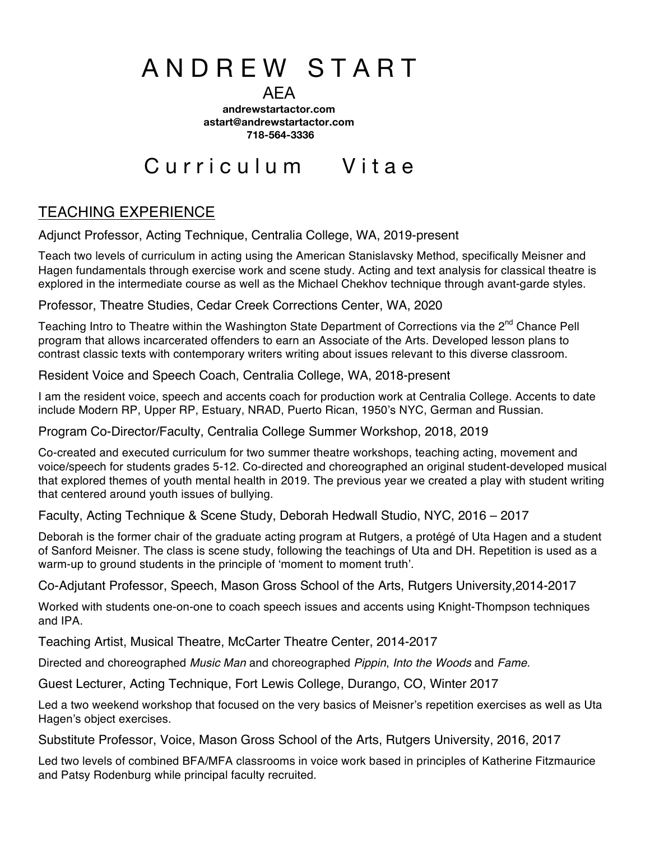# A N D R E W S T A R T

AEA

**andrewstartactor.com astart@andrewstartactor.com 718-564-3336**

# Curriculum Vitae

## TEACHING EXPERIENCE

Adjunct Professor, Acting Technique, Centralia College, WA, 2019-present

Teach two levels of curriculum in acting using the American Stanislavsky Method, specifically Meisner and Hagen fundamentals through exercise work and scene study. Acting and text analysis for classical theatre is explored in the intermediate course as well as the Michael Chekhov technique through avant-garde styles.

Professor, Theatre Studies, Cedar Creek Corrections Center, WA, 2020

Teaching Intro to Theatre within the Washington State Department of Corrections via the 2<sup>nd</sup> Chance Pell program that allows incarcerated offenders to earn an Associate of the Arts. Developed lesson plans to contrast classic texts with contemporary writers writing about issues relevant to this diverse classroom.

Resident Voice and Speech Coach, Centralia College, WA, 2018-present

I am the resident voice, speech and accents coach for production work at Centralia College. Accents to date include Modern RP, Upper RP, Estuary, NRAD, Puerto Rican, 1950's NYC, German and Russian.

Program Co-Director/Faculty, Centralia College Summer Workshop, 2018, 2019

Co-created and executed curriculum for two summer theatre workshops, teaching acting, movement and voice/speech for students grades 5-12. Co-directed and choreographed an original student-developed musical that explored themes of youth mental health in 2019. The previous year we created a play with student writing that centered around youth issues of bullying.

Faculty, Acting Technique & Scene Study, Deborah Hedwall Studio, NYC, 2016 – 2017

Deborah is the former chair of the graduate acting program at Rutgers, a protégé of Uta Hagen and a student of Sanford Meisner. The class is scene study, following the teachings of Uta and DH. Repetition is used as a warm-up to ground students in the principle of 'moment to moment truth'.

Co-Adjutant Professor, Speech, Mason Gross School of the Arts, Rutgers University,2014-2017

Worked with students one-on-one to coach speech issues and accents using Knight-Thompson techniques and IPA.

Teaching Artist, Musical Theatre, McCarter Theatre Center, 2014-2017

Directed and choreographed *Music Man* and choreographed *Pippin*, *Into the Woods* and *Fame*.

Guest Lecturer, Acting Technique, Fort Lewis College, Durango, CO, Winter 2017

Led a two weekend workshop that focused on the very basics of Meisner's repetition exercises as well as Uta Hagen's object exercises.

Substitute Professor, Voice, Mason Gross School of the Arts, Rutgers University, 2016, 2017

Led two levels of combined BFA/MFA classrooms in voice work based in principles of Katherine Fitzmaurice and Patsy Rodenburg while principal faculty recruited.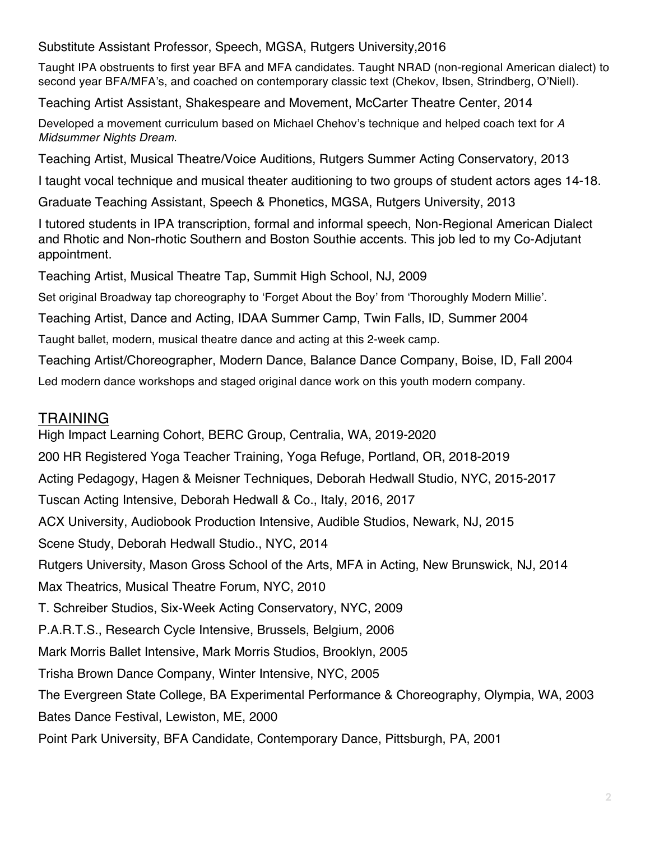Substitute Assistant Professor, Speech, MGSA, Rutgers University,2016

Taught IPA obstruents to first year BFA and MFA candidates. Taught NRAD (non-regional American dialect) to second year BFA/MFA's, and coached on contemporary classic text (Chekov, Ibsen, Strindberg, O'Niell).

Teaching Artist Assistant, Shakespeare and Movement, McCarter Theatre Center, 2014

Developed a movement curriculum based on Michael Chehov's technique and helped coach text for *A Midsummer Nights Dream*.

Teaching Artist, Musical Theatre/Voice Auditions, Rutgers Summer Acting Conservatory, 2013

I taught vocal technique and musical theater auditioning to two groups of student actors ages 14-18.

Graduate Teaching Assistant, Speech & Phonetics, MGSA, Rutgers University, 2013

I tutored students in IPA transcription, formal and informal speech, Non-Regional American Dialect and Rhotic and Non-rhotic Southern and Boston Southie accents. This job led to my Co-Adjutant appointment.

Teaching Artist, Musical Theatre Tap, Summit High School, NJ, 2009

Set original Broadway tap choreography to 'Forget About the Boy' from 'Thoroughly Modern Millie'.

Teaching Artist, Dance and Acting, IDAA Summer Camp, Twin Falls, ID, Summer 2004

Taught ballet, modern, musical theatre dance and acting at this 2-week camp.

Teaching Artist/Choreographer, Modern Dance, Balance Dance Company, Boise, ID, Fall 2004

Led modern dance workshops and staged original dance work on this youth modern company.

#### TRAINING

High Impact Learning Cohort, BERC Group, Centralia, WA, 2019-2020 200 HR Registered Yoga Teacher Training, Yoga Refuge, Portland, OR, 2018-2019 Acting Pedagogy, Hagen & Meisner Techniques, Deborah Hedwall Studio, NYC, 2015-2017 Tuscan Acting Intensive, Deborah Hedwall & Co., Italy, 2016, 2017 ACX University, Audiobook Production Intensive, Audible Studios, Newark, NJ, 2015 Scene Study, Deborah Hedwall Studio., NYC, 2014 Rutgers University, Mason Gross School of the Arts, MFA in Acting, New Brunswick, NJ, 2014 Max Theatrics, Musical Theatre Forum, NYC, 2010 T. Schreiber Studios, Six-Week Acting Conservatory, NYC, 2009 P.A.R.T.S., Research Cycle Intensive, Brussels, Belgium, 2006 Mark Morris Ballet Intensive, Mark Morris Studios, Brooklyn, 2005 Trisha Brown Dance Company, Winter Intensive, NYC, 2005 The Evergreen State College, BA Experimental Performance & Choreography, Olympia, WA, 2003 Bates Dance Festival, Lewiston, ME, 2000 Point Park University, BFA Candidate, Contemporary Dance, Pittsburgh, PA, 2001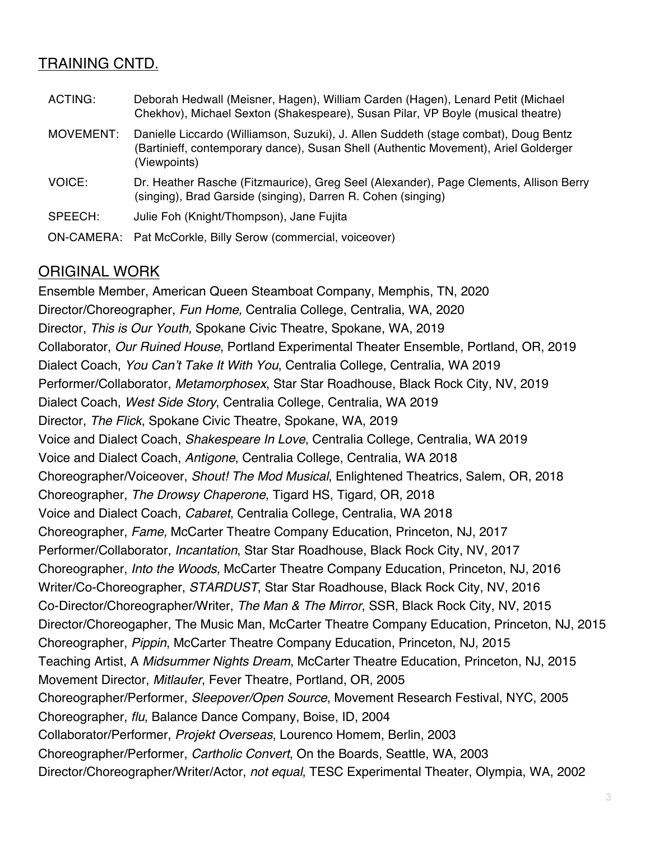#### TRAINING CNTD.

| ACTING:    | Deborah Hedwall (Meisner, Hagen), William Carden (Hagen), Lenard Petit (Michael<br>Chekhov), Michael Sexton (Shakespeare), Susan Pilar, VP Boyle (musical theatre)                         |
|------------|--------------------------------------------------------------------------------------------------------------------------------------------------------------------------------------------|
| MOVEMENT:  | Danielle Liccardo (Williamson, Suzuki), J. Allen Suddeth (stage combat), Doug Bentz<br>(Bartinieff, contemporary dance), Susan Shell (Authentic Movement), Ariel Golderger<br>(Viewpoints) |
| VOICE:     | Dr. Heather Rasche (Fitzmaurice), Greg Seel (Alexander), Page Clements, Allison Berry<br>(singing), Brad Garside (singing), Darren R. Cohen (singing)                                      |
| SPEECH:    | Julie Foh (Knight/Thompson), Jane Fujita                                                                                                                                                   |
| ON-CAMERA: | Pat McCorkle, Billy Serow (commercial, voiceover)                                                                                                                                          |

#### ORIGINAL WORK

Ensemble Member, American Queen Steamboat Company, Memphis, TN, 2020 Director/Choreographer, *Fun Home,* Centralia College, Centralia, WA, 2020 Director, *This is Our Youth,* Spokane Civic Theatre, Spokane, WA, 2019 Collaborator, *Our Ruined House*, Portland Experimental Theater Ensemble, Portland, OR, 2019 Dialect Coach, *You Can't Take It With You*, Centralia College, Centralia, WA 2019 Performer/Collaborator, *Metamorphosex*, Star Star Roadhouse, Black Rock City, NV, 2019 Dialect Coach, *West Side Story*, Centralia College, Centralia, WA 2019 Director, *The Flick*, Spokane Civic Theatre, Spokane, WA, 2019 Voice and Dialect Coach, *Shakespeare In Love*, Centralia College, Centralia, WA 2019 Voice and Dialect Coach, *Antigone*, Centralia College, Centralia, WA 2018 Choreographer/Voiceover, *Shout! The Mod Musical*, Enlightened Theatrics, Salem, OR, 2018 Choreographer, *The Drowsy Chaperone*, Tigard HS, Tigard, OR, 2018 Voice and Dialect Coach, *Cabaret*, Centralia College, Centralia, WA 2018 Choreographer, *Fame,* McCarter Theatre Company Education, Princeton, NJ, 2017 Performer/Collaborator, *Incantation*, Star Star Roadhouse, Black Rock City, NV, 2017 Choreographer, *Into the Woods,* McCarter Theatre Company Education, Princeton, NJ, 2016 Writer/Co-Choreographer, *STARDUST*, Star Star Roadhouse, Black Rock City, NV, 2016 Co-Director/Choreographer/Writer, *The Man & The Mirror*, SSR, Black Rock City, NV, 2015 Director/Choreogapher, The Music Man, McCarter Theatre Company Education, Princeton, NJ, 2015 Choreographer, *Pippin*, McCarter Theatre Company Education, Princeton, NJ, 2015 Teaching Artist, A *Midsummer Nights Dream*, McCarter Theatre Education, Princeton, NJ, 2015 Movement Director, *Mitlaufer*, Fever Theatre, Portland, OR, 2005 Choreographer/Performer, *Sleepover/Open Source*, Movement Research Festival, NYC, 2005 Choreographer, *flu*, Balance Dance Company, Boise, ID, 2004 Collaborator/Performer, *Projekt Overseas*, Lourenco Homem, Berlin, 2003 Choreographer/Performer, *Cartholic Convert*, On the Boards, Seattle, WA, 2003 Director/Choreographer/Writer/Actor, *not equal*, TESC Experimental Theater, Olympia, WA, 2002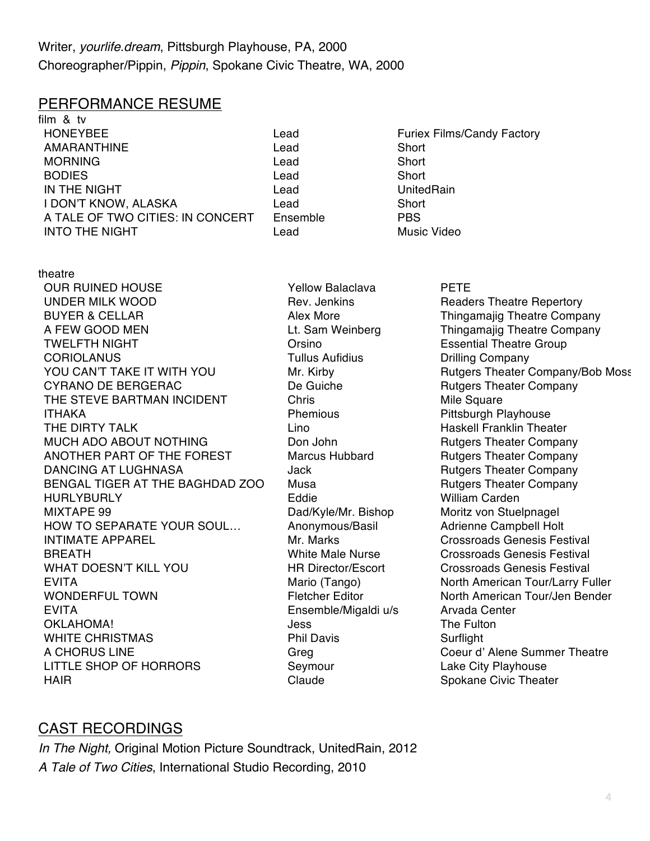#### PERFORMANCE RESUME

film & tv HONEYBEE Lead Furiex Films/Candy Factory AMARANTHINE Lead Short MORNING Lead Short BODIES **Lead** Short IN THE NIGHT Lead UnitedRain I DON'T KNOW, ALASKA Lead Short A TALE OF TWO CITIES: IN CONCERT Ensemble PBS INTO THE NIGHT Lead Music Video

- 
- 

theatre OUR RUINED HOUSE UNDER MILK WOOD BUYER & CELLAR **Alex More** Alex More Thingamajig Theatre Company A FEW GOOD MEN Lt. Sam Weinberg Thingamajig Theatre Company TWELFTH NIGHT Orsino Essential Theatre Group CORIOLANUS **Tullus Aufidius** Drilling Company YOU CAN'T TAKE IT WITH YOU Mr. Kirby Rutgers Theater Company/Bob Moss CYRANO DE BERGERAC De Guiche De Guiche Rutgers Theater Company THE STEVE BARTMAN INCIDENT Chris Chris Mile Square ITHAKA Phemious Pittsburgh Playhouse THE DIRTY TALK **Lino** Lino Haskell Franklin Theater MUCH ADO ABOUT NOTHING Don John Butgers Theater Company ANOTHER PART OF THE FOREST Marcus Hubbard Rutgers Theater Company DANCING AT LUGHNASA **For the USA COMPANY** Jack **Rutgers Theater Company** BENGAL TIGER AT THE BAGHDAD ZOO Musa Rutgers Theater Company HURLYBURLY Eddie William Carden MIXTAPE 99 Dad/Kyle/Mr. Bishop Moritz von Stuelpnagel HOW TO SEPARATE YOUR SOUL... Anonymous/Basil Adrienne Campbell Holt INTIMATE APPAREL **Mr. Marks** Mr. Marks Crossroads Genesis Festival BREATH White Male Nurse Crossroads Genesis Festival WHAT DOESN'T KILL YOU **HR Director/Escort** Crossroads Genesis Festival EVITA Mario (Tango) North American Tour/Larry Fuller WONDERFUL TOWN Fletcher Editor North American Tour/Jen Bender EVITA Ensemble/Migaldi u/s Arvada Center OKLAHOMA! SALLAHOMA! SALLAHOMA! WHITE CHRISTMAS **Phil Davis** Phil Davis Surflight A CHORUS LINE Greg Coeur d'Alene Summer Theatre LITTLE SHOP OF HORRORS Seymour Seymour Lake City Playhouse HAIR **Supplier Spokane Civic Theater** Claude Spokane Civic Theater

Yellow Balaclava Rev. Jenkins

#### PETE

Readers Theatre Repertory

### CAST RECORDINGS

*In The Night,* Original Motion Picture Soundtrack, UnitedRain, 2012 *A Tale of Two Cities*, International Studio Recording, 2010